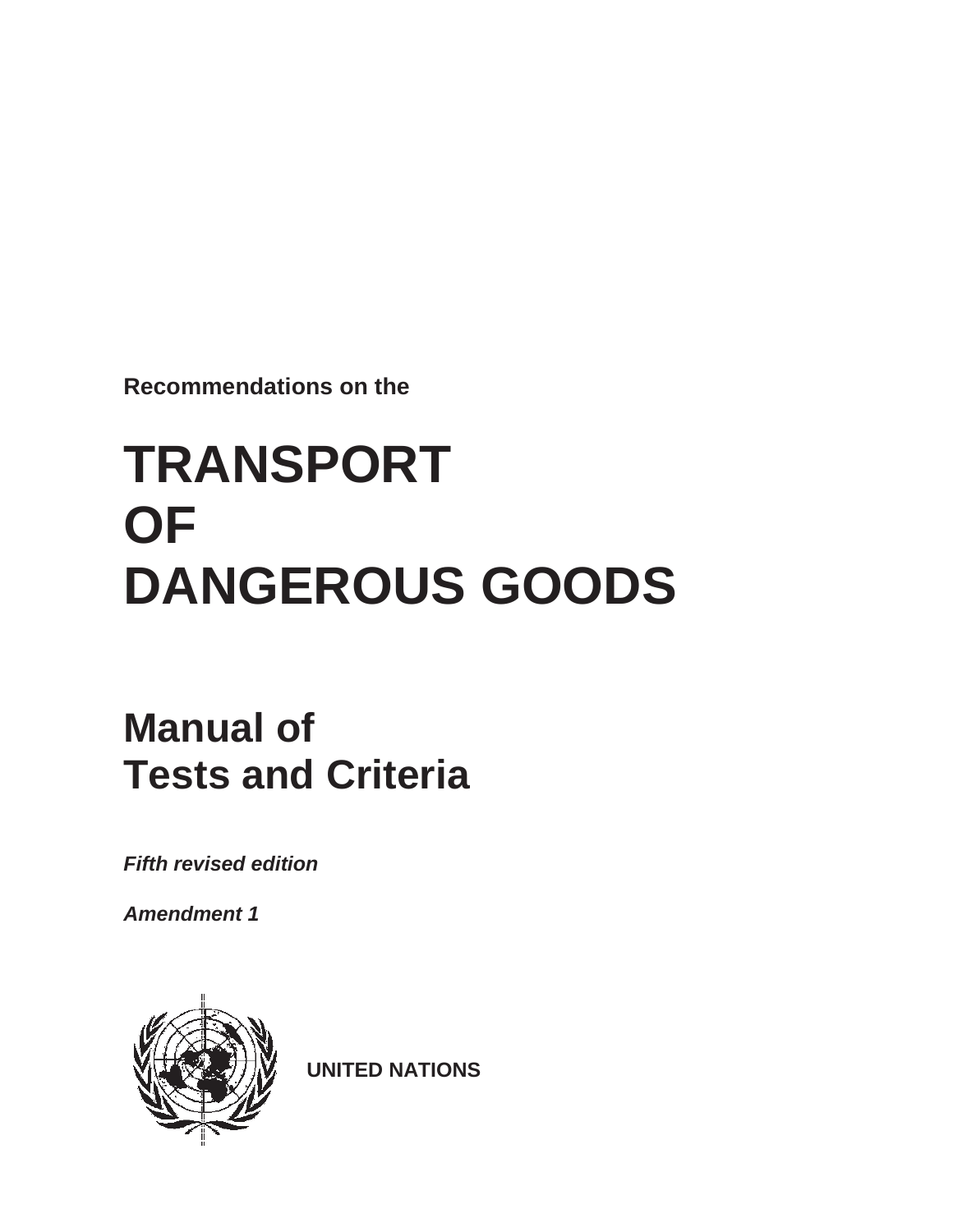**Recommendations on the** 

# **TRANSPORT OF DANGEROUS GOODS**

## **Manual of Tests and Criteria**

*Fifth revised edition* 

*Amendment 1* 



**UNITED NATIONS**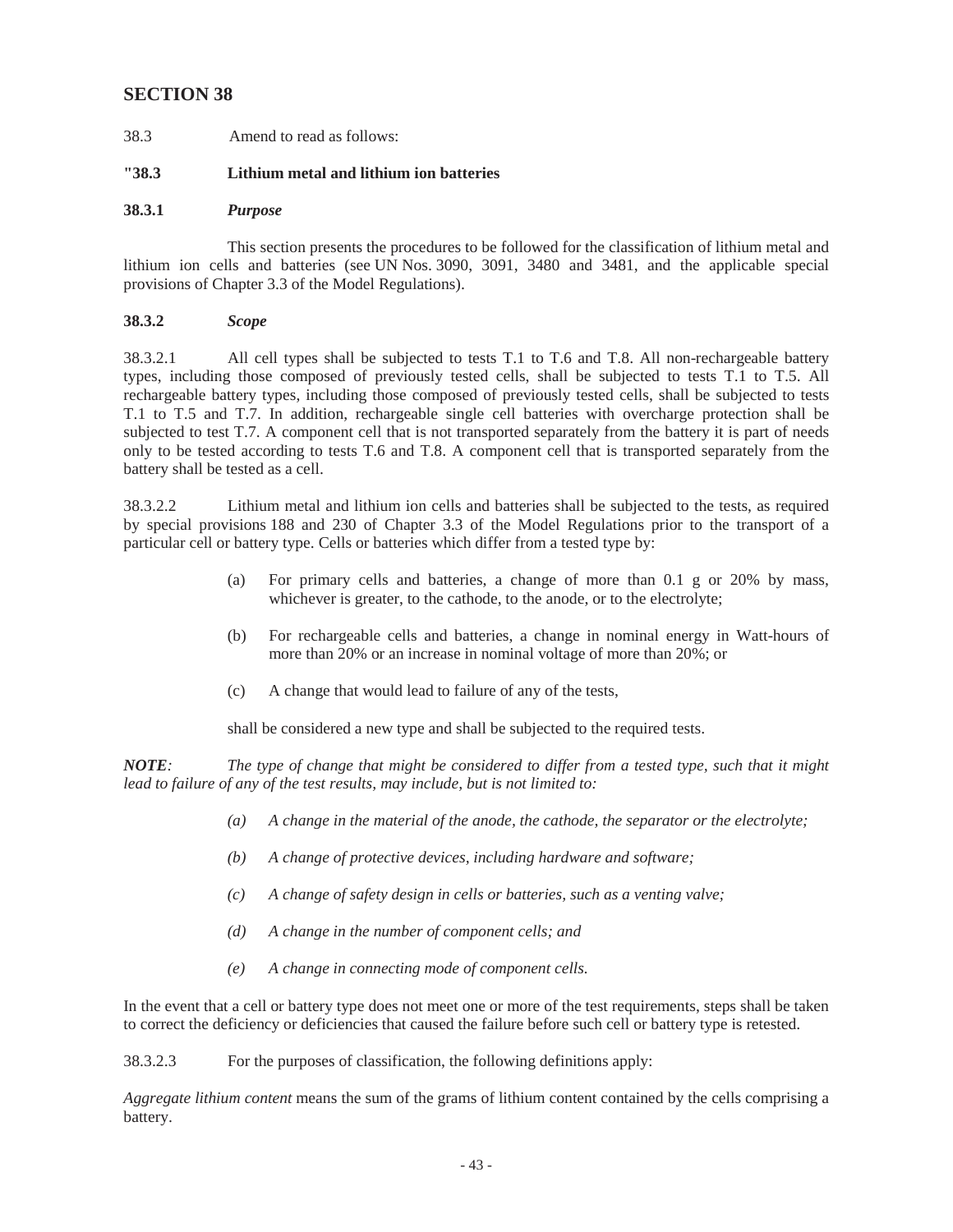## **SECTION 38**

38.3 Amend to read as follows:

## **"38.3 Lithium metal and lithium ion batteries**

## **38.3.1** *Purpose*

 This section presents the procedures to be followed for the classification of lithium metal and lithium ion cells and batteries (see UN Nos. 3090, 3091, 3480 and 3481, and the applicable special provisions of Chapter 3.3 of the Model Regulations).

## **38.3.2** *Scope*

 38.3.2.1 All cell types shall be subjected to tests T.1 to T.6 and T.8. All non-rechargeable battery rechargeable battery types, including those composed of previously tested cells, shall be subjected to tests battery shall be tested as a cell. types, including those composed of previously tested cells, shall be subjected to tests T.1 to T.5. All T.1 to T.5 and T.7. In addition, rechargeable single cell batteries with overcharge protection shall be subjected to test T.7. A component cell that is not transported separately from the battery it is part of needs only to be tested according to tests T.6 and T.8. A component cell that is transported separately from the

 38.3.2.2 Lithium metal and lithium ion cells and batteries shall be subjected to the tests, as required by special provisions 188 and 230 of Chapter 3.3 of the Model Regulations prior to the transport of a particular cell or battery type. Cells or batteries which differ from a tested type by:

- whichever is greater, to the cathode, to the anode, or to the electrolyte; (a) For primary cells and batteries, a change of more than 0.1 g or 20% by mass,
- (b) For rechargeable cells and batteries, a change in nominal energy in Watt-hours of more than 20% or an increase in nominal voltage of more than 20%; or
- (c) A change that would lead to failure of any of the tests,

shall be considered a new type and shall be subjected to the required tests.

*NOTE: The type of change that might be considered to differ from a tested type, such that it might lead to failure of any of the test results, may include, but is not limited to:* 

- *(a) A change in the material of the anode, the cathode, the separator or the electrolyte;*
- *(b) A change of protective devices, including hardware and software;*
- *(c) A change of safety design in cells or batteries, such as a venting valve;*
- *(d) A change in the number of component cells; and*
- *(e) A change in connecting mode of component cells.*

In the event that a cell or battery type does not meet one or more of the test requirements, steps shall be taken to correct the deficiency or deficiencies that caused the failure before such cell or battery type is retested.

38.3.2.3 For the purposes of classification, the following definitions apply:

*Aggregate lithium content* means the sum of the grams of lithium content contained by the cells comprising a battery.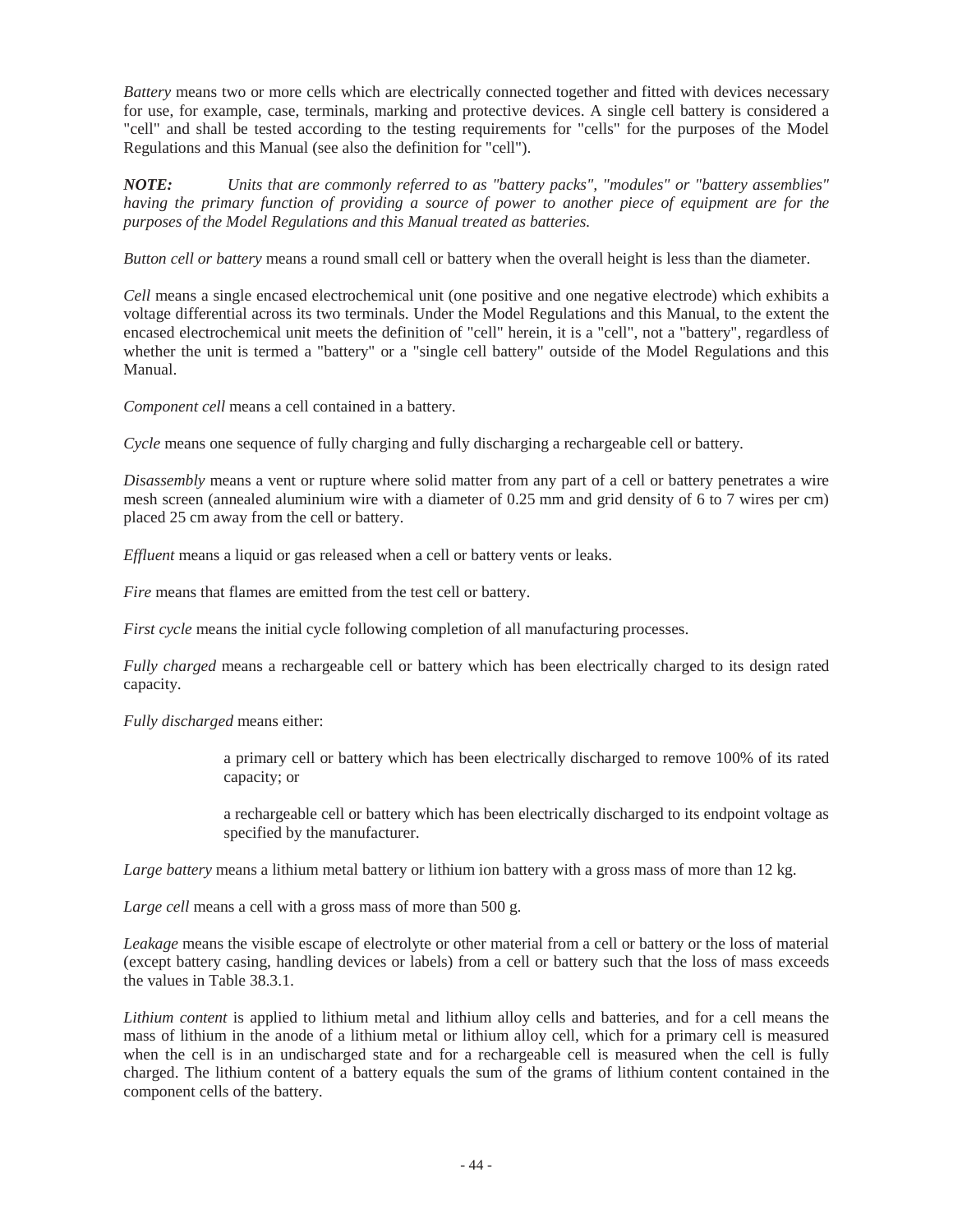*Battery* means two or more cells which are electrically connected together and fitted with devices necessary for use, for example, case, terminals, marking and protective devices. A single cell battery is considered a "cell" and shall be tested according to the testing requirements for "cells" for the purposes of the Model Regulations and this Manual (see also the definition for "cell").

*NOTE: Units that are commonly referred to as "battery packs", "modules" or "battery assemblies" having the primary function of providing a source of power to another piece of equipment are for the purposes of the Model Regulations and this Manual treated as batteries.* 

*Button cell or battery* means a round small cell or battery when the overall height is less than the diameter.

 whether the unit is termed a "battery" or a "single cell battery" outside of the Model Regulations and this *Cell* means a single encased electrochemical unit (one positive and one negative electrode) which exhibits a voltage differential across its two terminals. Under the Model Regulations and this Manual, to the extent the encased electrochemical unit meets the definition of "cell" herein, it is a "cell", not a "battery", regardless of Manual.

*Component cell* means a cell contained in a battery.

*Cycle* means one sequence of fully charging and fully discharging a rechargeable cell or battery.

 mesh screen (annealed aluminium wire with a diameter of 0.25 mm and grid density of 6 to 7 wires per cm) *Disassembly* means a vent or rupture where solid matter from any part of a cell or battery penetrates a wire placed 25 cm away from the cell or battery.

*Effluent* means a liquid or gas released when a cell or battery vents or leaks.

*Fire* means that flames are emitted from the test cell or battery.

*First cycle* means the initial cycle following completion of all manufacturing processes.

*Fully charged* means a rechargeable cell or battery which has been electrically charged to its design rated capacity.

*Fully discharged* means either:

a primary cell or battery which has been electrically discharged to remove 100% of its rated capacity; or

a rechargeable cell or battery which has been electrically discharged to its endpoint voltage as specified by the manufacturer.

*Large battery* means a lithium metal battery or lithium ion battery with a gross mass of more than 12 kg.

*Large cell* means a cell with a gross mass of more than 500 g.

*Leakage* means the visible escape of electrolyte or other material from a cell or battery or the loss of material (except battery casing, handling devices or labels) from a cell or battery such that the loss of mass exceeds the values in Table 38.3.1.

*Lithium content* is applied to lithium metal and lithium alloy cells and batteries, and for a cell means the mass of lithium in the anode of a lithium metal or lithium alloy cell, which for a primary cell is measured when the cell is in an undischarged state and for a rechargeable cell is measured when the cell is fully charged. The lithium content of a battery equals the sum of the grams of lithium content contained in the component cells of the battery.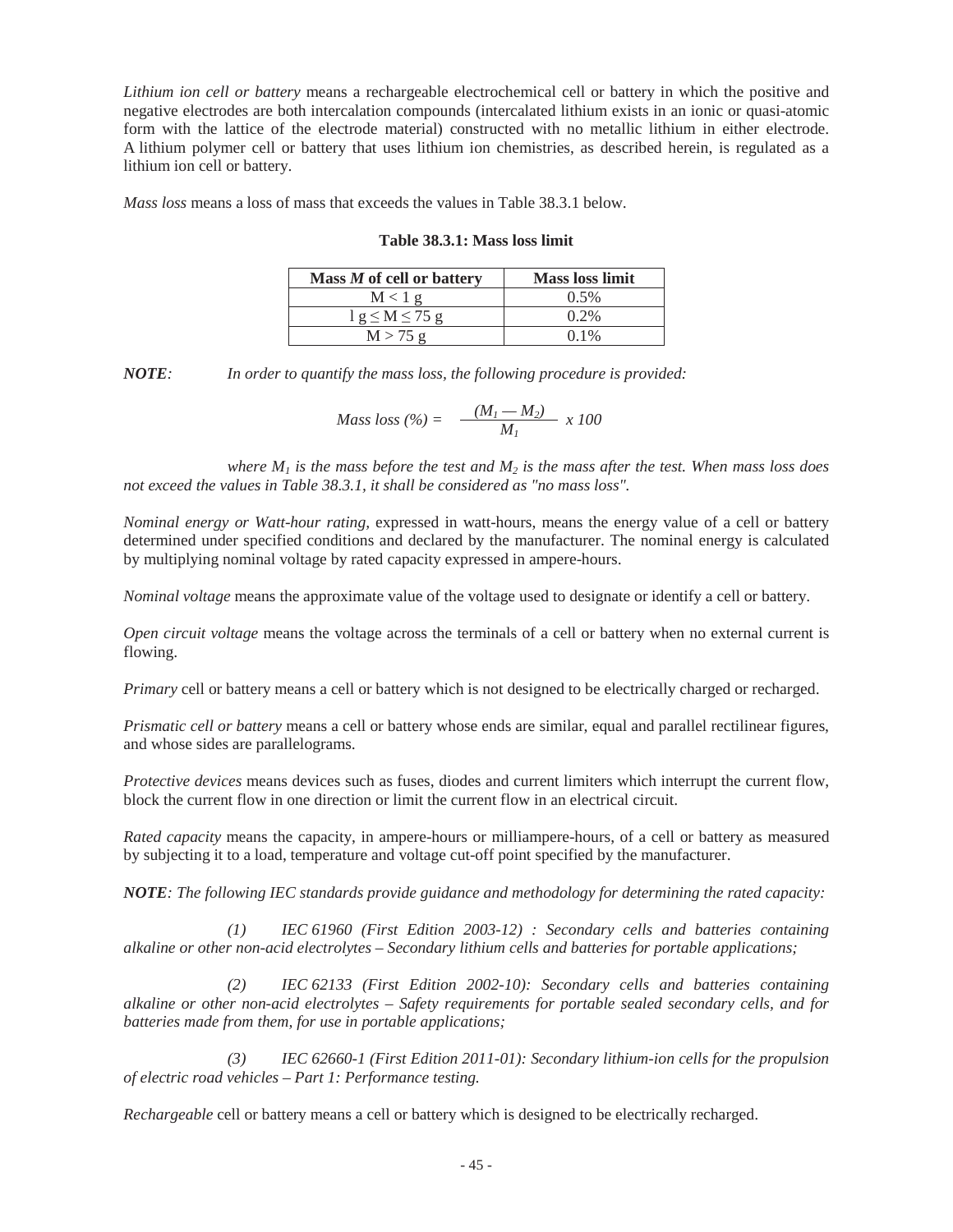*Lithium ion cell or battery* means a rechargeable electrochemical cell or battery in which the positive and negative electrodes are both intercalation compounds (intercalated lithium exists in an ionic or quasi-atomic form with the lattice of the electrode material) constructed with no metallic lithium in either electrode. A lithium polymer cell or battery that uses lithium ion chemistries, as described herein, is regulated as a lithium ion cell or battery.

*Mass loss* means a loss of mass that exceeds the values in Table 38.3.1 below.

|  |  | <b>Table 38.3.1: Mass loss limit</b> |  |  |  |
|--|--|--------------------------------------|--|--|--|
|--|--|--------------------------------------|--|--|--|

| Mass M of cell or battery | <b>Mass loss limit</b> |
|---------------------------|------------------------|
| $M < 1$ g                 | $0.5\%$                |
| $1 g \le M \le 75 g$      | $0.2\%$                |
| M > 75g                   | $0.1\%$                |

*NOTE: In order to quantify the mass loss, the following procedure is provided:* 

$$
Mass loss (\%) = \frac{(M_1 - M_2)}{M_1} \times 100
$$

*where*  $M_1$  *is the mass before the test and*  $M_2$  *is the mass after the test. When mass loss does not exceed the values in Table 38.3.1, it shall be considered as "no mass loss".* 

*Nominal energy or Watt-hour rating,* expressed in watt-hours, means the energy value of a cell or battery determined under specified conditions and declared by the manufacturer. The nominal energy is calculated by multiplying nominal voltage by rated capacity expressed in ampere-hours.

*Nominal voltage* means the approximate value of the voltage used to designate or identify a cell or battery.

*Open circuit voltage* means the voltage across the terminals of a cell or battery when no external current is flowing.

*Primary* cell or battery means a cell or battery which is not designed to be electrically charged or recharged.

*Prismatic cell or battery* means a cell or battery whose ends are similar, equal and parallel rectilinear figures, and whose sides are parallelograms.

*Protective devices* means devices such as fuses, diodes and current limiters which interrupt the current flow, block the current flow in one direction or limit the current flow in an electrical circuit.

*Rated capacity* means the capacity, in ampere-hours or milliampere-hours, of a cell or battery as measured by subjecting it to a load, temperature and voltage cut-off point specified by the manufacturer.

*NOTE: The following IEC standards provide guidance and methodology for determining the rated capacity:* 

*(1) IEC 61960 (First Edition 2003-12) : Secondary cells and batteries containing alkaline or other non-acid electrolytes – Secondary lithium cells and batteries for portable applications;* 

*(2) IEC 62133 (First Edition 2002-10): Secondary cells and batteries containing alkaline or other non-acid electrolytes – Safety requirements for portable sealed secondary cells, and for batteries made from them, for use in portable applications;* 

*(3) IEC 62660-1 (First Edition 2011-01): Secondary lithium-ion cells for the propulsion of electric road vehicles – Part 1: Performance testing.* 

*Rechargeable* cell or battery means a cell or battery which is designed to be electrically recharged.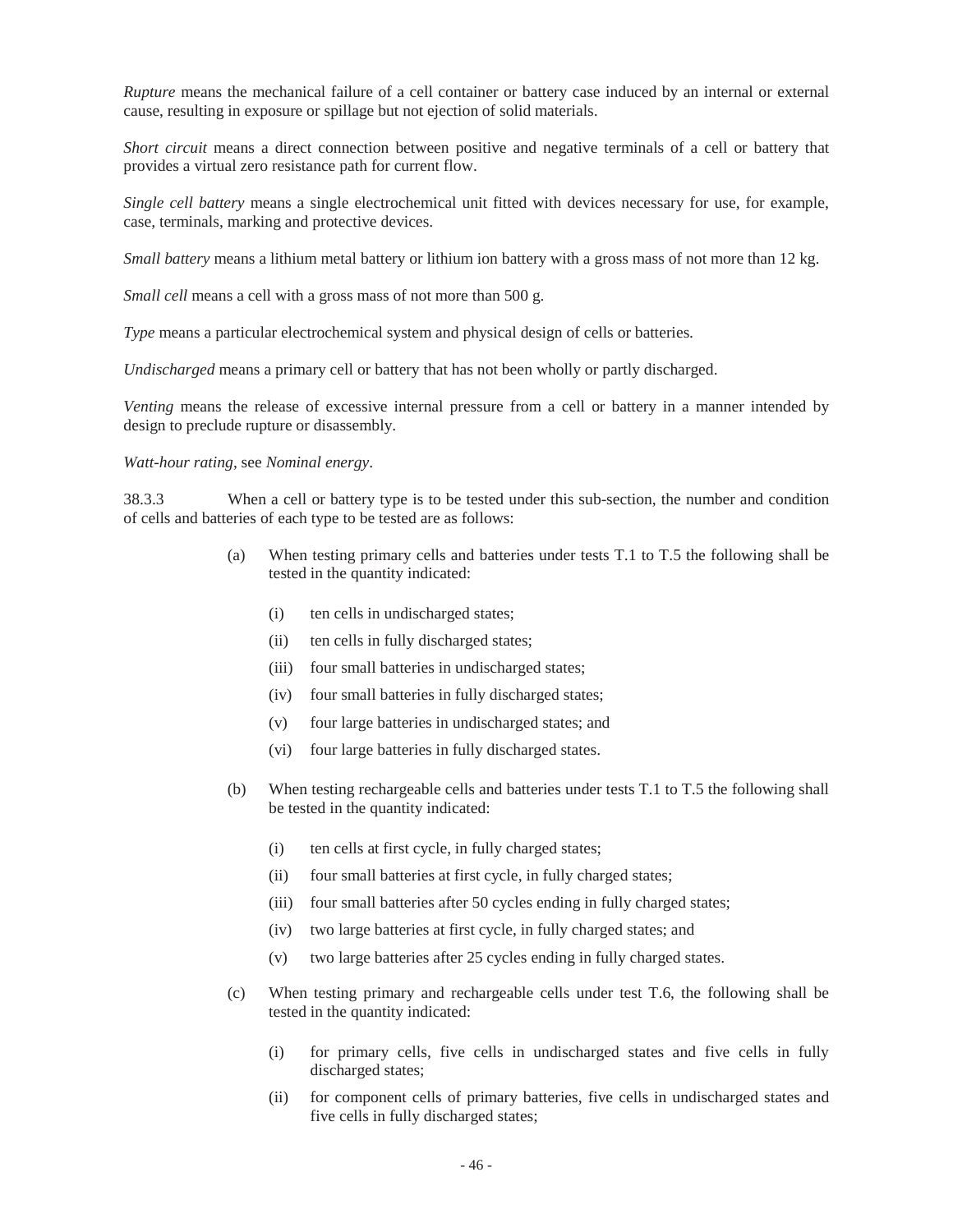*Rupture* means the mechanical failure of a cell container or battery case induced by an internal or external cause, resulting in exposure or spillage but not ejection of solid materials.

*Short circuit* means a direct connection between positive and negative terminals of a cell or battery that provides a virtual zero resistance path for current flow.

*Single cell battery* means a single electrochemical unit fitted with devices necessary for use, for example, case, terminals, marking and protective devices.

*Small battery* means a lithium metal battery or lithium ion battery with a gross mass of not more than 12 kg.

*Small cell* means a cell with a gross mass of not more than 500 g.

*Type* means a particular electrochemical system and physical design of cells or batteries.

*Undischarged* means a primary cell or battery that has not been wholly or partly discharged.

*Venting* means the release of excessive internal pressure from a cell or battery in a manner intended by design to preclude rupture or disassembly.

### *Watt-hour rating*, see *Nominal energy*.

38.3.3 When a cell or battery type is to be tested under this sub-section, the number and condition of cells and batteries of each type to be tested are as follows:

- (a) When testing primary cells and batteries under tests T.1 to T.5 the following shall be tested in the quantity indicated:
	- (i) ten cells in undischarged states;
	- (ii) ten cells in fully discharged states;
	- (iii) four small batteries in undischarged states;
	- $(iv)$ four small batteries in fully discharged states;
	- (v) four large batteries in undischarged states; and
	- (vi) four large batteries in fully discharged states.
- (b) When testing rechargeable cells and batteries under tests T.1 to T.5 the following shall be tested in the quantity indicated:
	- $(i)$ ten cells at first cycle, in fully charged states;
	- (ii) four small batteries at first cycle, in fully charged states;
	- (iii) four small batteries after 50 cycles ending in fully charged states;
	- (iv) two large batteries at first cycle, in fully charged states; and
	- (v) two large batteries after 25 cycles ending in fully charged states.
- (c) When testing primary and rechargeable cells under test T.6, the following shall be tested in the quantity indicated:
	- $(i)$ for primary cells, five cells in undischarged states and five cells in fully discharged states;
	- (ii) for component cells of primary batteries, five cells in undischarged states and five cells in fully discharged states;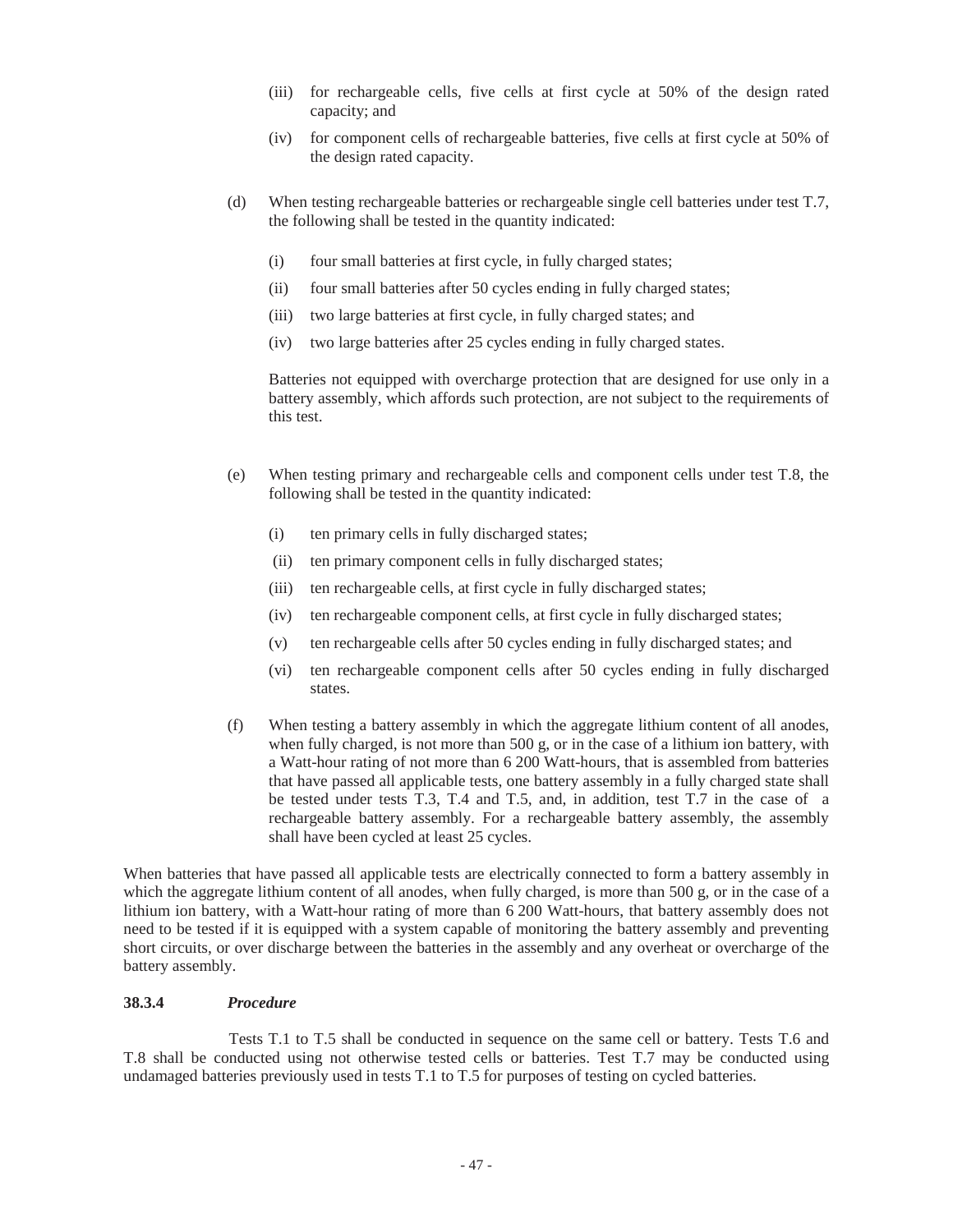- (iii) for rechargeable cells, five cells at first cycle at 50% of the design rated capacity; and
- (iv) for component cells of rechargeable batteries, five cells at first cycle at 50% of the design rated capacity.
- the following shall be tested in the quantity indicated: (d) When testing rechargeable batteries or rechargeable single cell batteries under test T.7,
	- (i) four small batteries at first cycle, in fully charged states;
	- (ii) four small batteries after 50 cycles ending in fully charged states;
	- (iii) two large batteries at first cycle, in fully charged states; and
	- (iv) two large batteries after 25 cycles ending in fully charged states.

Batteries not equipped with overcharge protection that are designed for use only in a battery assembly, which affords such protection, are not subject to the requirements of this test.

- following shall be tested in the quantity indicated: (e) When testing primary and rechargeable cells and component cells under test T.8, the
	- (i) ten primary cells in fully discharged states;
	- (ii) ten primary component cells in fully discharged states;
	- (iii) ten rechargeable cells, at first cycle in fully discharged states;
	- $(iv)$ ten rechargeable component cells, at first cycle in fully discharged states;
	- (v) ten rechargeable cells after 50 cycles ending in fully discharged states; and
	- (vi) ten rechargeable component cells after 50 cycles ending in fully discharged states.
- (f) When testing a battery assembly in which the aggregate lithium content of all anodes, when fully charged, is not more than  $500 \text{ g}$ , or in the case of a lithium ion battery, with a Watt-hour rating of not more than 6 200 Watt-hours, that is assembled from batteries that have passed all applicable tests, one battery assembly in a fully charged state shall be tested under tests T.3, T.4 and T.5, and, in addition, test T.7 in the case of a rechargeable battery assembly. For a rechargeable battery assembly, the assembly shall have been cycled at least 25 cycles.

When batteries that have passed all applicable tests are electrically connected to form a battery assembly in which the aggregate lithium content of all anodes, when fully charged, is more than 500 g, or in the case of a lithium ion battery, with a Watt-hour rating of more than 6 200 Watt-hours, that battery assembly does not need to be tested if it is equipped with a system capable of monitoring the battery assembly and preventing short circuits, or over discharge between the batteries in the assembly and any overheat or overcharge of the battery assembly.

## **38.3.4** *Procedure*

 undamaged batteries previously used in tests T.1 to T.5 for purposes of testing on cycled batteries. Tests T.1 to T.5 shall be conducted in sequence on the same cell or battery. Tests T.6 and T.8 shall be conducted using not otherwise tested cells or batteries. Test T.7 may be conducted using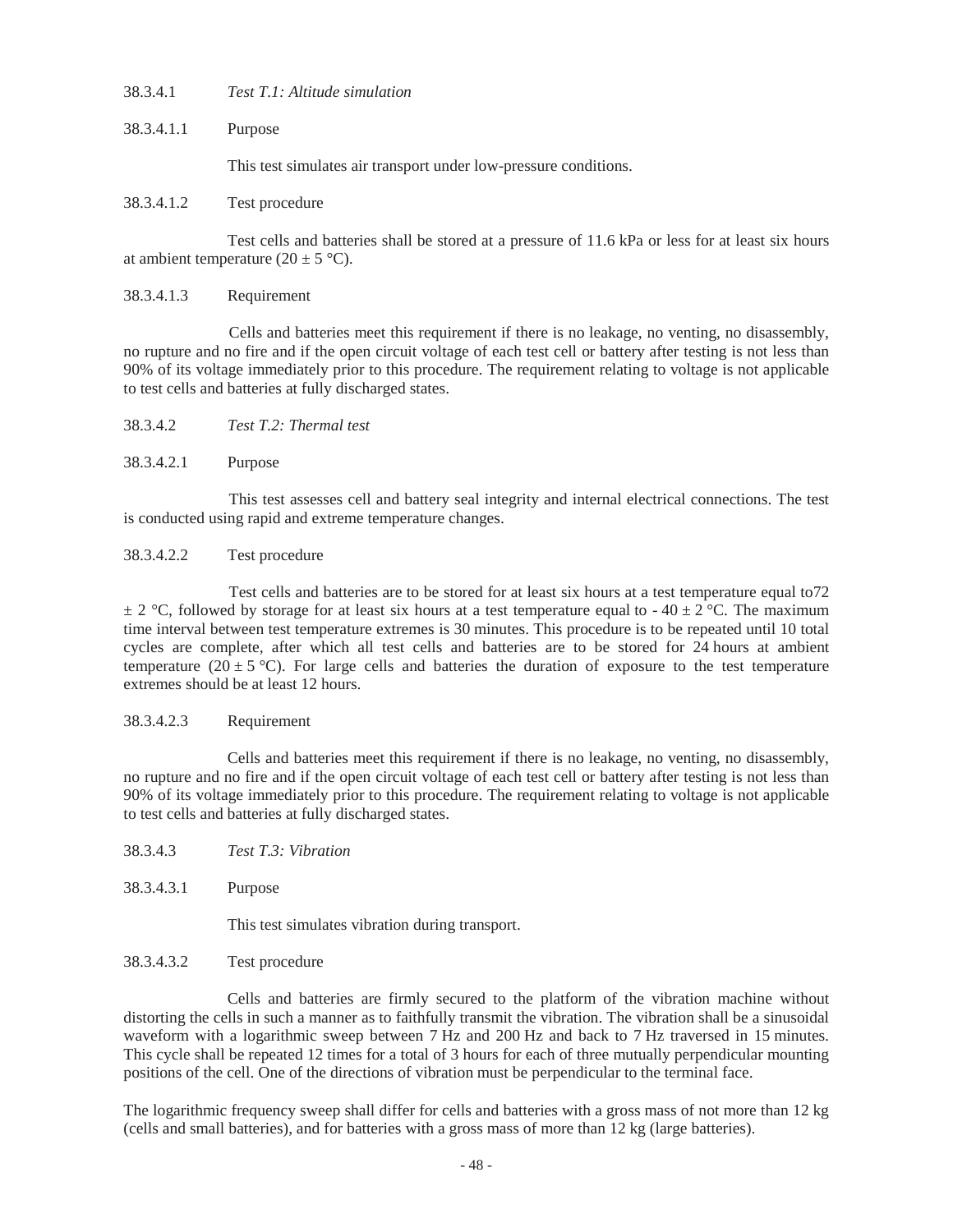38.3.4.1 *Test T.1: Altitude simulation* 

 38.3.4.1.1 Purpose

This test simulates air transport under low-pressure conditions.

#### Test procedure

Test cells and batteries shall be stored at a pressure of 11.6 kPa or less for at least six hours at ambient temperature  $(20 \pm 5 \degree C)$ .

## 38.3.4.1.3 Requirement

 no rupture and no fire and if the open circuit voltage of each test cell or battery after testing is not less than to test cells and batteries at fully discharged states. Cells and batteries meet this requirement if there is no leakage, no venting, no disassembly, 90% of its voltage immediately prior to this procedure. The requirement relating to voltage is not applicable

38.3.4.2 *Test T.2: Thermal test* 

## 38.3.4.2.1 Purpose

This test assesses cell and battery seal integrity and internal electrical connections. The test is conducted using rapid and extreme temperature changes.

## 38.3.4.2.2 Test procedure

 $\pm$  2 °C, followed by storage for at least six hours at a test temperature equal to - 40  $\pm$  2 °C. The maximum cycles are complete, after which all test cells and batteries are to be stored for 24 hours at ambient Test cells and batteries are to be stored for at least six hours at a test temperature equal to72 time interval between test temperature extremes is 30 minutes. This procedure is to be repeated until 10 total temperature (20  $\pm$  5 °C). For large cells and batteries the duration of exposure to the test temperature extremes should be at least 12 hours.

#### Requirement

 no rupture and no fire and if the open circuit voltage of each test cell or battery after testing is not less than to test cells and batteries at fully discharged states. Cells and batteries meet this requirement if there is no leakage, no venting, no disassembly, 90% of its voltage immediately prior to this procedure. The requirement relating to voltage is not applicable

- 38.3.4.3 *Test T.3: Vibration*
- 38.3.4.3.1 Purpose

This test simulates vibration during transport.

#### Test procedure

Cells and batteries are firmly secured to the platform of the vibration machine without distorting the cells in such a manner as to faithfully transmit the vibration. The vibration shall be a sinusoidal waveform with a logarithmic sweep between 7 Hz and 200 Hz and back to 7 Hz traversed in 15 minutes. This cycle shall be repeated 12 times for a total of 3 hours for each of three mutually perpendicular mounting positions of the cell. One of the directions of vibration must be perpendicular to the terminal face.

 The logarithmic frequency sweep shall differ for cells and batteries with a gross mass of not more than 12 kg (cells and small batteries), and for batteries with a gross mass of more than 12 kg (large batteries).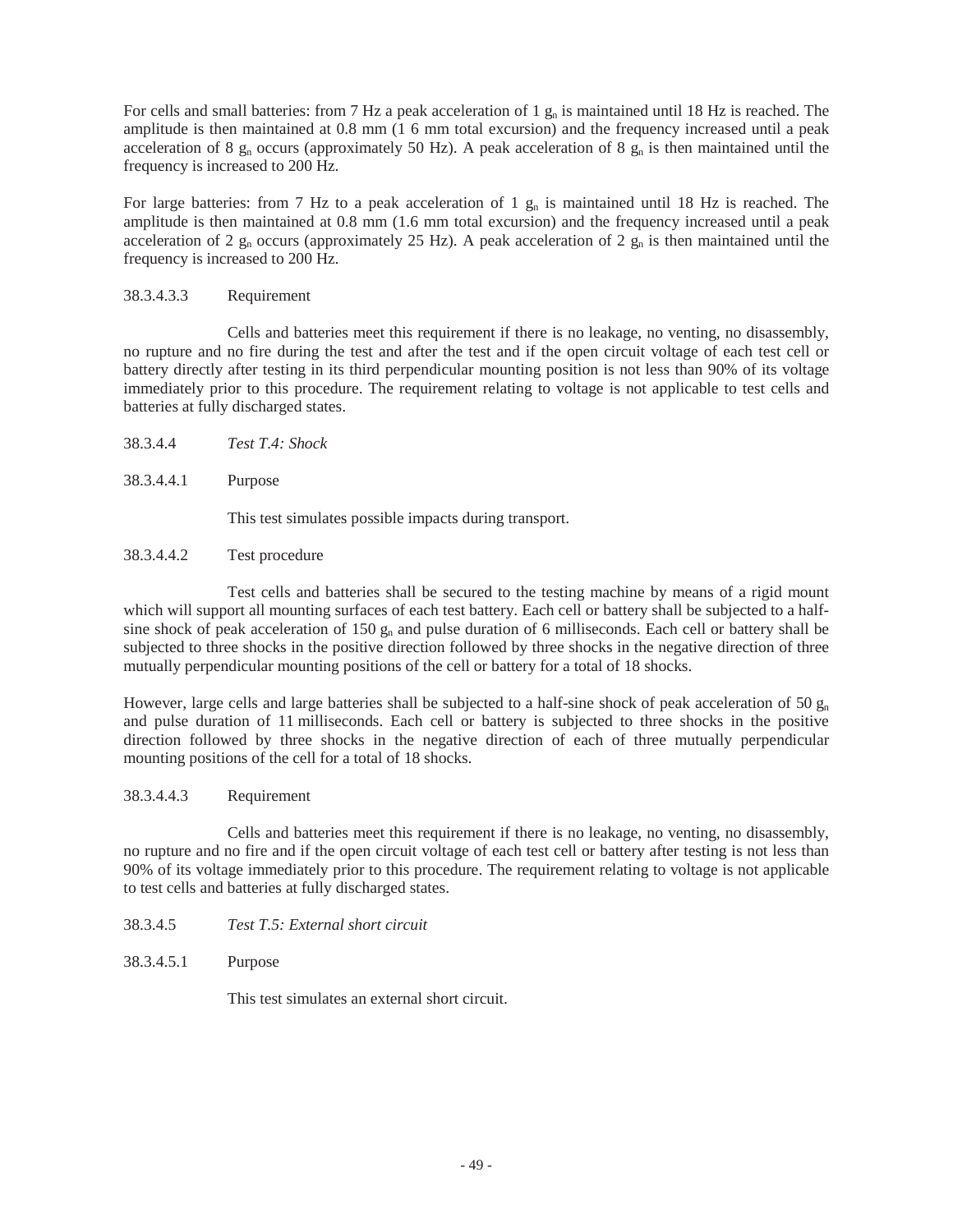For cells and small batteries: from 7 Hz a peak acceleration of 1  $g_n$  is maintained until 18 Hz is reached. The amplitude is then maintained at 0.8 mm (1 6 mm total excursion) and the frequency increased until a peak acceleration of 8  $g_n$  occurs (approximately 50 Hz). A peak acceleration of 8  $g_n$  is then maintained until the frequency is increased to 200 Hz.

For large batteries: from 7 Hz to a peak acceleration of 1  $g_n$  is maintained until 18 Hz is reached. The amplitude is then maintained at 0.8 mm (1.6 mm total excursion) and the frequency increased until a peak acceleration of 2  $g_n$  occurs (approximately 25 Hz). A peak acceleration of 2  $g_n$  is then maintained until the frequency is increased to 200 Hz.

#### 38.3.4.3.3 **Requirement**

Cells and batteries meet this requirement if there is no leakage, no venting, no disassembly, no rupture and no fire during the test and after the test and if the open circuit voltage of each test cell or battery directly after testing in its third perpendicular mounting position is not less than 90% of its voltage immediately prior to this procedure. The requirement relating to voltage is not applicable to test cells and batteries at fully discharged states.

- 38.3.4.4 *Test T.4: Shock*
- 38.3.4.4.1 Purpose

This test simulates possible impacts during transport.

 Test procedure

Test cells and batteries shall be secured to the testing machine by means of a rigid mount which will support all mounting surfaces of each test battery. Each cell or battery shall be subjected to a halfsine shock of peak acceleration of  $150 g_n$  and pulse duration of 6 milliseconds. Each cell or battery shall be subjected to three shocks in the positive direction followed by three shocks in the negative direction of three mutually perpendicular mounting positions of the cell or battery for a total of 18 shocks.

 mounting positions of the cell for a total of 18 shocks. However, large cells and large batteries shall be subjected to a half-sine shock of peak acceleration of 50  $g_n$ and pulse duration of 11 milliseconds. Each cell or battery is subjected to three shocks in the positive direction followed by three shocks in the negative direction of each of three mutually perpendicular

#### **Requirement**

 no rupture and no fire and if the open circuit voltage of each test cell or battery after testing is not less than to test cells and batteries at fully discharged states. Cells and batteries meet this requirement if there is no leakage, no venting, no disassembly, 90% of its voltage immediately prior to this procedure. The requirement relating to voltage is not applicable

- 38.3.4.5 *Test T.5: External short circuit*
- 38.3.4.5.1 Purpose

This test simulates an external short circuit.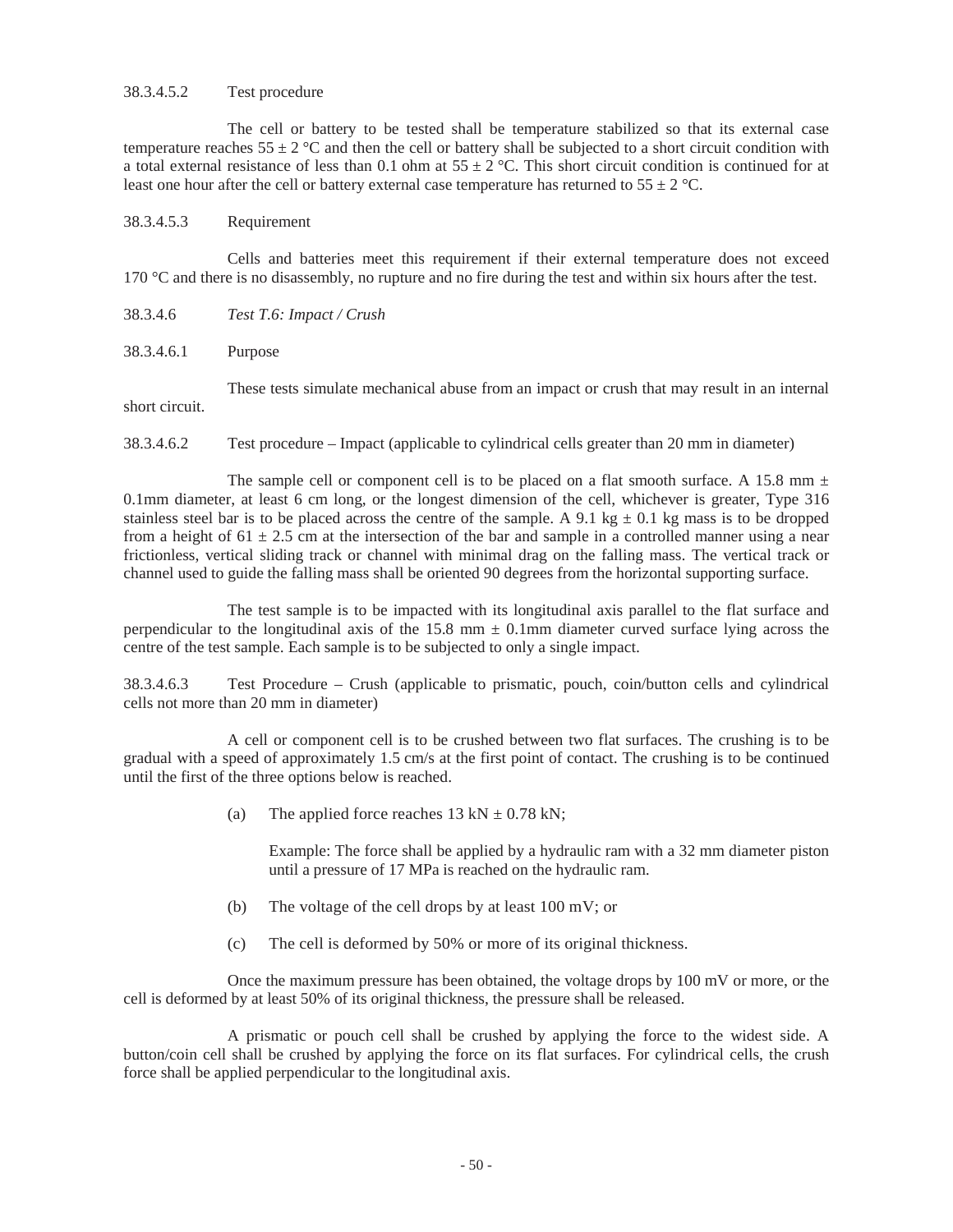## 38.3.4.5.2 Test procedure

The cell or battery to be tested shall be temperature stabilized so that its external case temperature reaches  $55 \pm 2$  °C and then the cell or battery shall be subjected to a short circuit condition with a total external resistance of less than 0.1 ohm at  $55 \pm 2$  °C. This short circuit condition is continued for at least one hour after the cell or battery external case temperature has returned to  $55 \pm 2$  °C.

## 38.3.4.5.3 Requirement

Cells and batteries meet this requirement if their external temperature does not exceed 170 °C and there is no disassembly, no rupture and no fire during the test and within six hours after the test.

- 38.3.4.6 *Test T.6: Impact / Crush*
- 38.3.4.6.1 Purpose

 These tests simulate mechanical abuse from an impact or crush that may result in an internal short circuit.

38.3.4.6.2 Test procedure – Impact (applicable to cylindrical cells greater than 20 mm in diameter)

The sample cell or component cell is to be placed on a flat smooth surface. A 15.8 mm  $\pm$ 0.1mm diameter, at least 6 cm long, or the longest dimension of the cell, whichever is greater, Type 316 stainless steel bar is to be placed across the centre of the sample. A 9.1 kg  $\pm$  0.1 kg mass is to be dropped from a height of  $61 \pm 2.5$  cm at the intersection of the bar and sample in a controlled manner using a near frictionless, vertical sliding track or channel with minimal drag on the falling mass. The vertical track or channel used to guide the falling mass shall be oriented 90 degrees from the horizontal supporting surface.

 The test sample is to be impacted with its longitudinal axis parallel to the flat surface and perpendicular to the longitudinal axis of the 15.8 mm  $\pm$  0.1mm diameter curved surface lying across the centre of the test sample. Each sample is to be subjected to only a single impact.

38.3.4.6.3 Test Procedure – Crush (applicable to prismatic, pouch, coin/button cells and cylindrical cells not more than 20 mm in diameter)

A cell or component cell is to be crushed between two flat surfaces. The crushing is to be gradual with a speed of approximately 1.5 cm/s at the first point of contact. The crushing is to be continued until the first of the three options below is reached.

(a) The applied force reaches  $13 \text{ kN} \pm 0.78 \text{ kN}$ ;

Example: The force shall be applied by a hydraulic ram with a 32 mm diameter piston until a pressure of 17 MPa is reached on the hydraulic ram.

- (b) The voltage of the cell drops by at least 100 mV; or
- (c) The cell is deformed by 50% or more of its original thickness.

 Once the maximum pressure has been obtained, the voltage drops by 100 mV or more, or the cell is deformed by at least 50% of its original thickness, the pressure shall be released.

 A prismatic or pouch cell shall be crushed by applying the force to the widest side. A button/coin cell shall be crushed by applying the force on its flat surfaces. For cylindrical cells, the crush force shall be applied perpendicular to the longitudinal axis.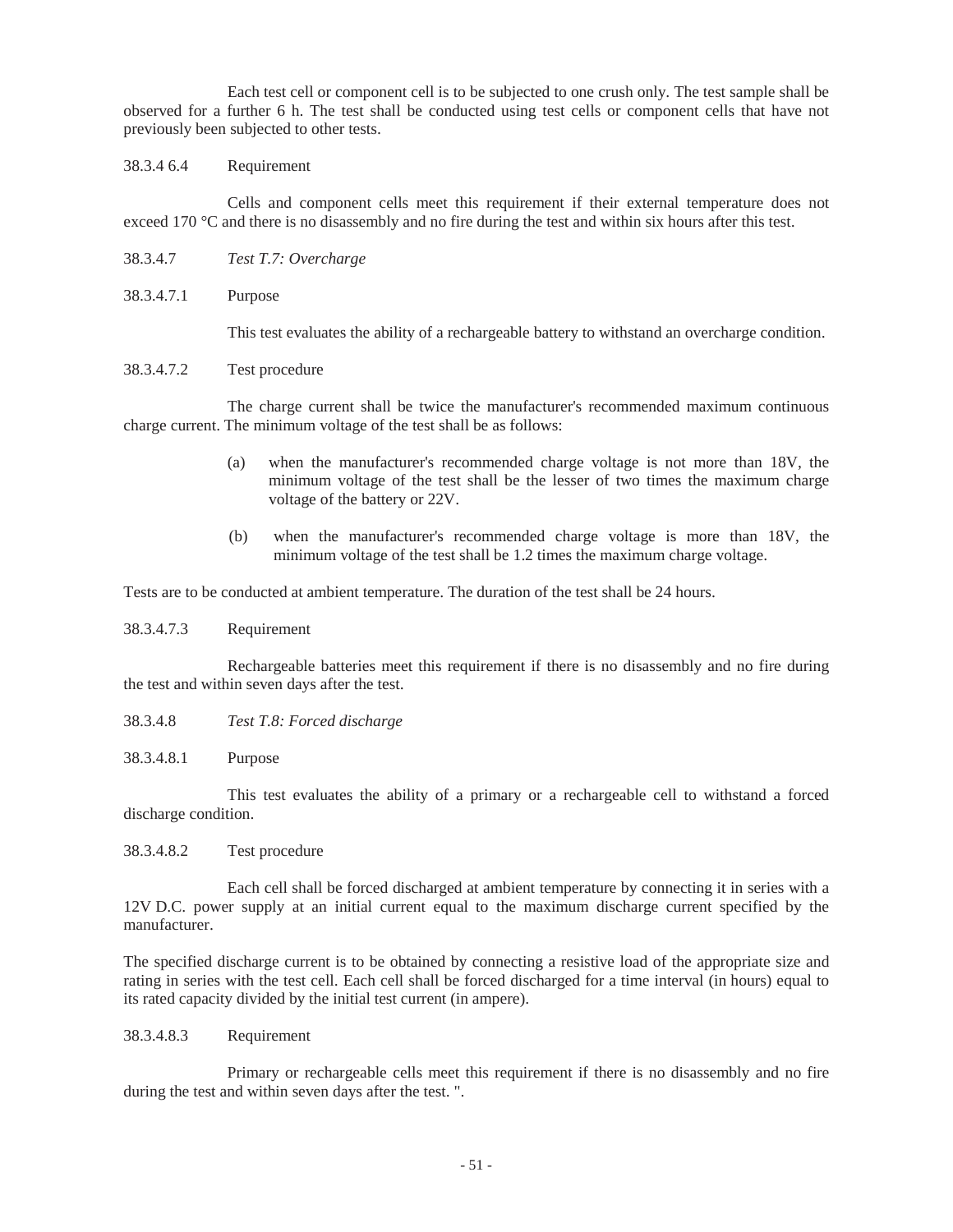observed for a further 6 h. The test shall be conducted using test cells or component cells that have not Each test cell or component cell is to be subjected to one crush only. The test sample shall be previously been subjected to other tests.

## 38.3.4 6.4 Requirement

Cells and component cells meet this requirement if their external temperature does not exceed 170 °C and there is no disassembly and no fire during the test and within six hours after this test.

- 38.3.4.7 *Test T.7: Overcharge*
- 38.3.4.7.1 Purpose

This test evaluates the ability of a rechargeable battery to withstand an overcharge condition.

38.3.4.7.2 Test procedure

 The charge current shall be twice the manufacturer's recommended maximum continuous charge current. The minimum voltage of the test shall be as follows:

- (a) when the manufacturer's recommended charge voltage is not more than 18V, the minimum voltage of the test shall be the lesser of two times the maximum charge voltage of the battery or 22V.
- minimum voltage of the test shall be 1.2 times the maximum charge voltage. (b) when the manufacturer's recommended charge voltage is more than 18V, the

Tests are to be conducted at ambient temperature. The duration of the test shall be 24 hours.

## 38.3.4.7.3 Requirement

Rechargeable batteries meet this requirement if there is no disassembly and no fire during the test and within seven days after the test.

- 38.3.4.8 *Test T.8: Forced discharge*
- 38.3.4.8.1 Purpose

This test evaluates the ability of a primary or a rechargeable cell to withstand a forced discharge condition.

38.3.4.8.2 Test procedure

Each cell shall be forced discharged at ambient temperature by connecting it in series with a 12V D.C. power supply at an initial current equal to the maximum discharge current specified by the manufacturer.

The specified discharge current is to be obtained by connecting a resistive load of the appropriate size and rating in series with the test cell. Each cell shall be forced discharged for a time interval (in hours) equal to its rated capacity divided by the initial test current (in ampere).

## 38.3.4.8.3 Requirement

 Primary or rechargeable cells meet this requirement if there is no disassembly and no fire during the test and within seven days after the test. ".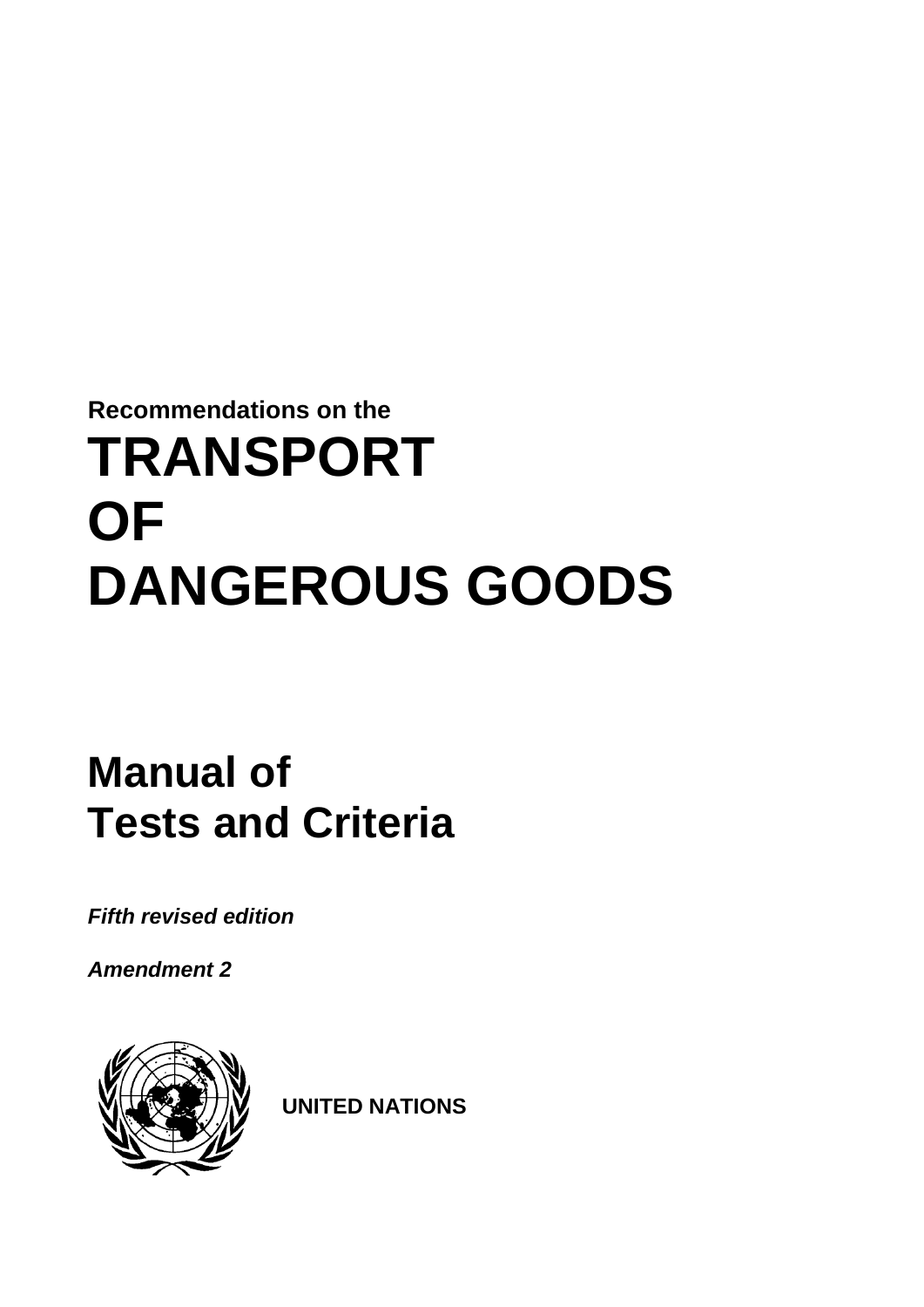# **Recommendations on the TRANSPORT OF DANGEROUS GOODS**

## **Manual of Tests and Criteria**

*Fifth revised edition*

*Amendment 2*



**UNITED NATIONS**